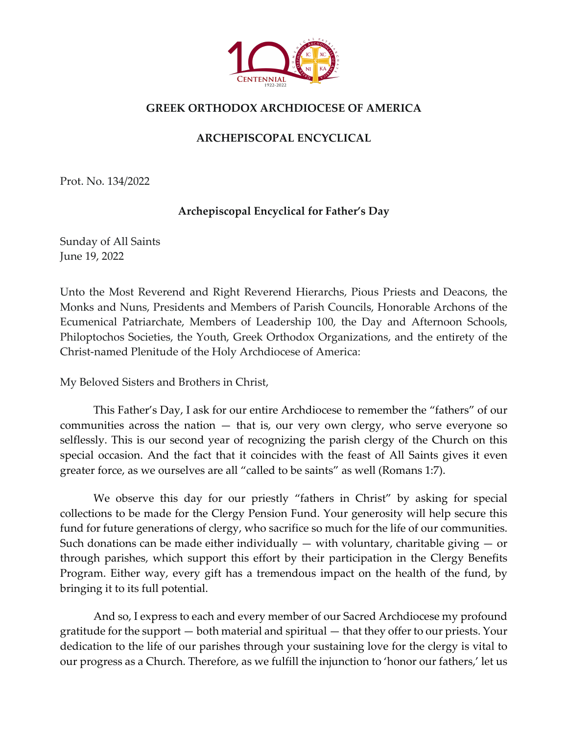

## **GREEK ORTHODOX ARCHDIOCESE OF AMERICA**

## **ARCHEPISCOPAL ENCYCLICAL**

Prot. No. 134/2022

## **Archepiscopal Encyclical for Father's Day**

Sunday of All Saints June 19, 2022

Unto the Most Reverend and Right Reverend Hierarchs, Pious Priests and Deacons, the Monks and Nuns, Presidents and Members of Parish Councils, Honorable Archons of the Ecumenical Patriarchate, Members of Leadership 100, the Day and Afternoon Schools, Philoptochos Societies, the Youth, Greek Orthodox Organizations, and the entirety of the Christ-named Plenitude of the Holy Archdiocese of America:

My Beloved Sisters and Brothers in Christ,

This Father's Day, I ask for our entire Archdiocese to remember the "fathers" of our communities across the nation — that is, our very own clergy, who serve everyone so selflessly. This is our second year of recognizing the parish clergy of the Church on this special occasion. And the fact that it coincides with the feast of All Saints gives it even greater force, as we ourselves are all "called to be saints" as well (Romans 1:7).

We observe this day for our priestly "fathers in Christ" by asking for special collections to be made for the Clergy Pension Fund. Your generosity will help secure this fund for future generations of clergy, who sacrifice so much for the life of our communities. Such donations can be made either individually  $-$  with voluntary, charitable giving  $-$  or through parishes, which support this effort by their participation in the Clergy Benefits Program. Either way, every gift has a tremendous impact on the health of the fund, by bringing it to its full potential.

And so, I express to each and every member of our Sacred Archdiocese my profound gratitude for the support — both material and spiritual — that they offer to our priests. Your dedication to the life of our parishes through your sustaining love for the clergy is vital to our progress as a Church. Therefore, as we fulfill the injunction to 'honor our fathers,' let us